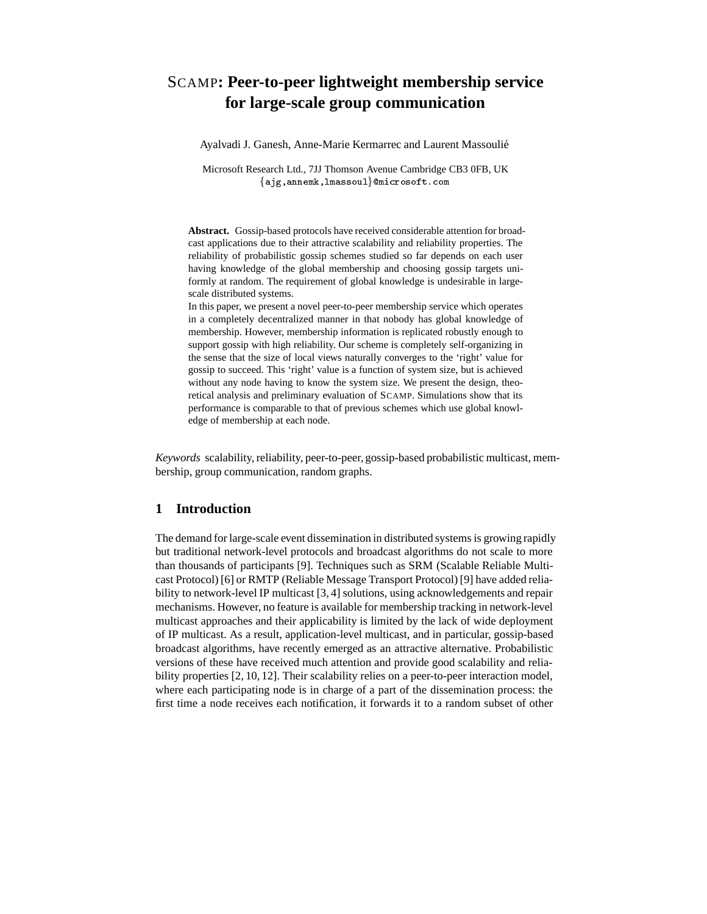# SCAMP**: Peer-to-peer lightweight membership service for large-scale group communication**

Ayalvadi J. Ganesh, Anne-Marie Kermarrec and Laurent Massoulié

Microsoft Research Ltd., 7JJ Thomson Avenue Cambridge CB3 0FB, UK  $\{ {\tt a}\,{\tt j}\,{\tt g}\,{\tt,} {\tt annew}\,{\tt,} {\tt l}\,{\tt massoul}\}$ @microsoft.com

**Abstract.** Gossip-based protocols have received considerable attention for broadcast applications due to their attractive scalability and reliability properties. The reliability of probabilistic gossip schemes studied so far depends on each user having knowledge of the global membership and choosing gossip targets uniformly at random. The requirement of global knowledge is undesirable in largescale distributed systems.

In this paper, we present a novel peer-to-peer membership service which operates in a completely decentralized manner in that nobody has global knowledge of membership. However, membership information is replicated robustly enough to support gossip with high reliability. Our scheme is completely self-organizing in the sense that the size of local views naturally converges to the 'right' value for gossip to succeed. This 'right' value is a function of system size, but is achieved without any node having to know the system size. We present the design, theoretical analysis and preliminary evaluation of SCAMP. Simulations show that its performance is comparable to that of previous schemes which use global knowledge of membership at each node.

*Keywords* scalability, reliability, peer-to-peer, gossip-based probabilistic multicast, membership, group communication, random graphs.

# **1 Introduction**

The demand for large-scale event dissemination in distributed systems is growing rapidly but traditional network-level protocols and broadcast algorithms do not scale to more than thousands of participants [9]. Techniques such as SRM (Scalable Reliable Multicast Protocol) [6] or RMTP (Reliable Message Transport Protocol) [9] have added reliability to network-level IP multicast [3, 4] solutions, using acknowledgements and repair mechanisms. However, no feature is available for membership tracking in network-level multicast approaches and their applicability is limited by the lack of wide deployment of IP multicast. As a result, application-level multicast, and in particular, gossip-based broadcast algorithms, have recently emerged as an attractive alternative. Probabilistic versions of these have received much attention and provide good scalability and reliability properties [2, 10, 12]. Their scalability relies on a peer-to-peer interaction model, where each participating node is in charge of a part of the dissemination process: the first time a node receives each notification, it forwards it to a random subset of other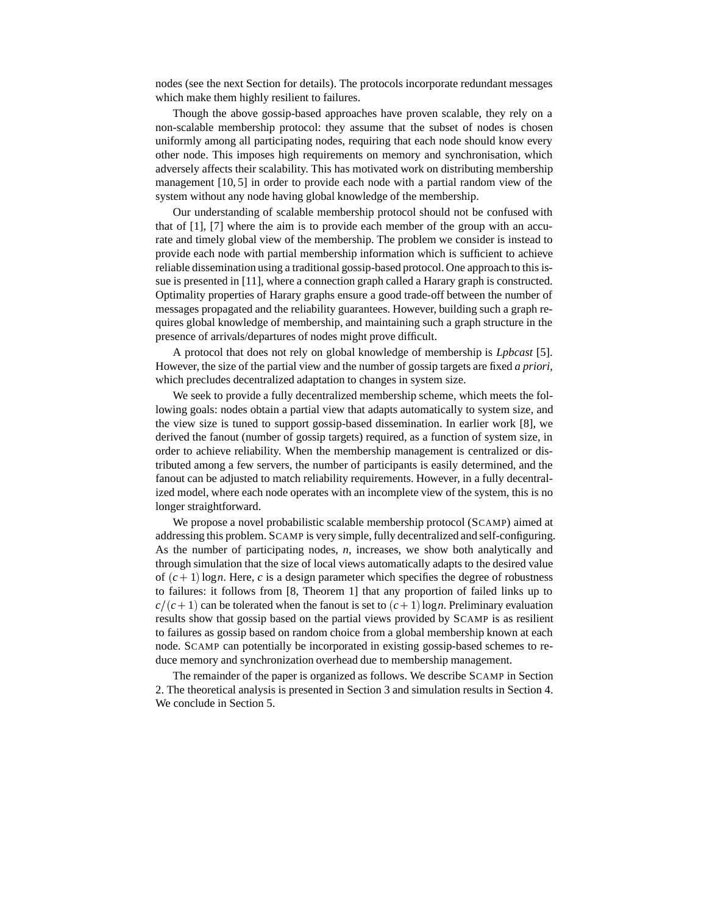nodes (see the next Section for details). The protocols incorporate redundant messages which make them highly resilient to failures.

Though the above gossip-based approaches have proven scalable, they rely on a non-scalable membership protocol: they assume that the subset of nodes is chosen uniformly among all participating nodes, requiring that each node should know every other node. This imposes high requirements on memory and synchronisation, which adversely affects their scalability. This has motivated work on distributing membership management [10, 5] in order to provide each node with a partial random view of the system without any node having global knowledge of the membership.

Our understanding of scalable membership protocol should not be confused with that of [1], [7] where the aim is to provide each member of the group with an accurate and timely global view of the membership. The problem we consider is instead to provide each node with partial membership information which is sufficient to achieve reliable dissemination using a traditional gossip-based protocol. One approach to this issue is presented in [11], where a connection graph called a Harary graph is constructed. Optimality properties of Harary graphs ensure a good trade-off between the number of messages propagated and the reliability guarantees. However, building such a graph requires global knowledge of membership, and maintaining such a graph structure in the presence of arrivals/departures of nodes might prove difficult.

A protocol that does not rely on global knowledge of membership is *Lpbcast* [5]. However, the size of the partial view and the number of gossip targets are fixed *a priori*, which precludes decentralized adaptation to changes in system size.

We seek to provide a fully decentralized membership scheme, which meets the following goals: nodes obtain a partial view that adapts automatically to system size, and the view size is tuned to support gossip-based dissemination. In earlier work [8], we derived the fanout (number of gossip targets) required, as a function of system size, in order to achieve reliability. When the membership management is centralized or distributed among a few servers, the number of participants is easily determined, and the fanout can be adjusted to match reliability requirements. However, in a fully decentralized model, where each node operates with an incomplete view of the system, this is no longer straightforward.

We propose a novel probabilistic scalable membership protocol (SCAMP) aimed at addressing this problem. SCAMP is very simple, fully decentralized and self-configuring. As the number of participating nodes, *n*, increases, we show both analytically and through simulation that the size of local views automatically adapts to the desired value of  $(c+1)$  logn. Here, *c* is a design parameter which specifies the degree of robustness to failures: it follows from [8, Theorem 1] that any proportion of failed links up to  $c/(c+1)$  can be tolerated when the fanout is set to  $(c+1)$  logn. Preliminary evaluation results show that gossip based on the partial views provided by SCAMP is as resilient to failures as gossip based on random choice from a global membership known at each node. SCAMP can potentially be incorporated in existing gossip-based schemes to reduce memory and synchronization overhead due to membership management.

The remainder of the paper is organized as follows. We describe SCAMP in Section 2. The theoretical analysis is presented in Section 3 and simulation results in Section 4. We conclude in Section 5.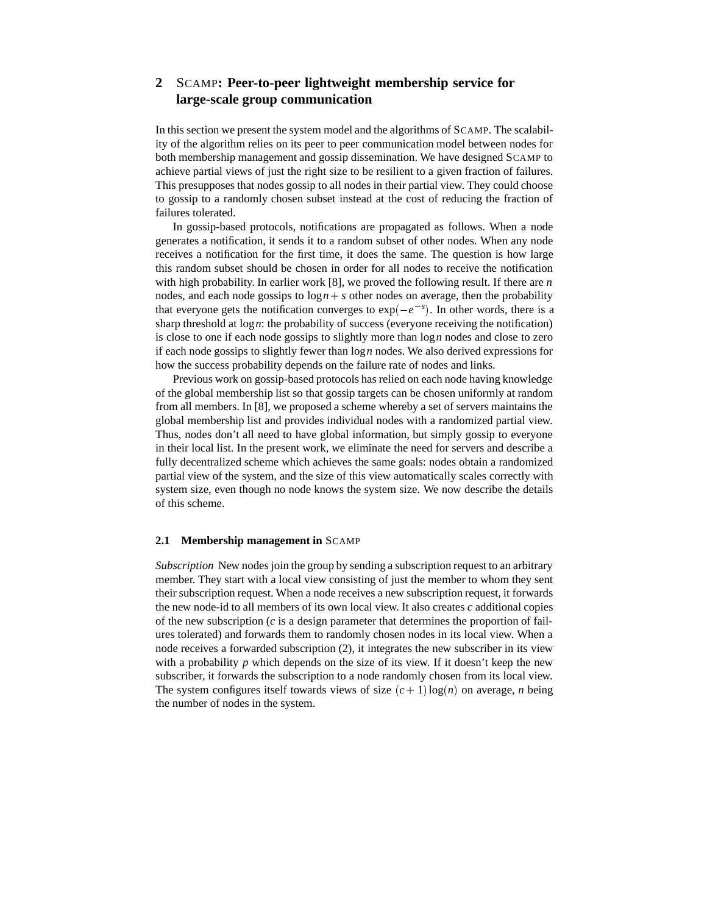# **2** SCAMP**: Peer-to-peer lightweight membership service for large-scale group communication**

In this section we present the system model and the algorithms of SCAMP. The scalability of the algorithm relies on its peer to peer communication model between nodes for both membership management and gossip dissemination. We have designed SCAMP to achieve partial views of just the right size to be resilient to a given fraction of failures. This presupposes that nodes gossip to all nodes in their partial view. They could choose to gossip to a randomly chosen subset instead at the cost of reducing the fraction of failures tolerated.

In gossip-based protocols, notifications are propagated as follows. When a node generates a notification, it sends it to a random subset of other nodes. When any node receives a notification for the first time, it does the same. The question is how large this random subset should be chosen in order for all nodes to receive the notification with high probability. In earlier work [8], we proved the following result. If there are *n* nodes, and each node gossips to  $\log n + s$  other nodes on average, then the probability that everyone gets the notification converges to  $exp(-e^{-s})$ . In other words, there is a sharp threshold at  $\log n$ : the probability of success (everyone receiving the notification) is close to one if each node gossips to slightly more than log*n* nodes and close to zero if each node gossips to slightly fewer than log*n* nodes. We also derived expressions for how the success probability depends on the failure rate of nodes and links.

Previous work on gossip-based protocols has relied on each node having knowledge of the global membership list so that gossip targets can be chosen uniformly at random from all members. In [8], we proposed a scheme whereby a set of servers maintains the global membership list and provides individual nodes with a randomized partial view. Thus, nodes don't all need to have global information, but simply gossip to everyone in their local list. In the present work, we eliminate the need for servers and describe a fully decentralized scheme which achieves the same goals: nodes obtain a randomized partial view of the system, and the size of this view automatically scales correctly with system size, even though no node knows the system size. We now describe the details of this scheme.

#### **2.1 Membership management in** SCAMP

*Subscription* New nodes join the group by sending a subscription request to an arbitrary member. They start with a local view consisting of just the member to whom they sent their subscription request. When a node receives a new subscription request, it forwards the new node-id to all members of its own local view. It also creates *c* additional copies of the new subscription (*c* is a design parameter that determines the proportion of failures tolerated) and forwards them to randomly chosen nodes in its local view. When a node receives a forwarded subscription (2), it integrates the new subscriber in its view with a probability *p* which depends on the size of its view. If it doesn't keep the new subscriber, it forwards the subscription to a node randomly chosen from its local view. The system configures itself towards views of size  $(c+1)\log(n)$  on average, *n* being the number of nodes in the system.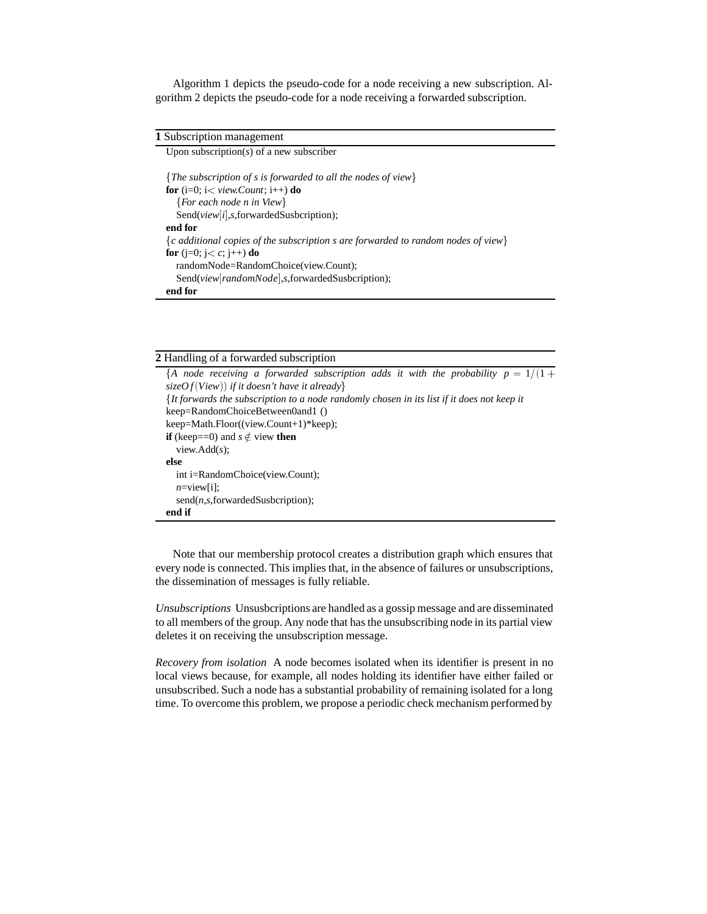Algorithm 1 depicts the pseudo-code for a node receiving a new subscription. Algorithm 2 depicts the pseudo-code for a node receiving a forwarded subscription.

#### **1** Subscription management

Upon subscription(*s*) of a new subscriber

```
{The subscription of s is forwarded to all the nodes of view}
for (i=0; i \lt view Count; i++) do
  {For each node n in View}
  Send(viewi,s,forwardedSusbcription);
end for
{c additional copies of the subscription s are forwarded to random nodes of view}
for (j=0; j < c; j++) do
  randomNode=RandomChoice(view.Count);
  Send(viewrandomNode,s,forwardedSusbcription);
end for
```

| 2 Handling of a forwarded subscription                                                     |
|--------------------------------------------------------------------------------------------|
| {A node receiving a forwarded subscription adds it with the probability $p = 1/(1 +$       |
| size $Of(View)$ ) if it doesn't have it already}                                           |
| {It forwards the subscription to a node randomly chosen in its list if it does not keep it |
| keep=RandomChoiceBetween0and1 ()                                                           |
| keep=Math.Floor((view.Count+1)*keep);                                                      |
| <b>if</b> (keep==0) and $s \notin$ view <b>then</b>                                        |
| view. $Add(s)$ :                                                                           |
| else                                                                                       |
| int i=RandomChoice(view.Count);                                                            |
| $n =$ view[i];                                                                             |
| send(n,s,forwardedSubcription):                                                            |
| end if                                                                                     |

Note that our membership protocol creates a distribution graph which ensures that every node is connected. This implies that, in the absence of failures or unsubscriptions, the dissemination of messages is fully reliable.

*Unsubscriptions* Unsusbcriptions are handled as a gossip message and are disseminated to all members of the group. Any node that has the unsubscribing node in its partial view deletes it on receiving the unsubscription message.

*Recovery from isolation* A node becomes isolated when its identifier is present in no local views because, for example, all nodes holding its identifier have either failed or unsubscribed. Such a node has a substantial probability of remaining isolated for a long time. To overcome this problem, we propose a periodic check mechanism performed by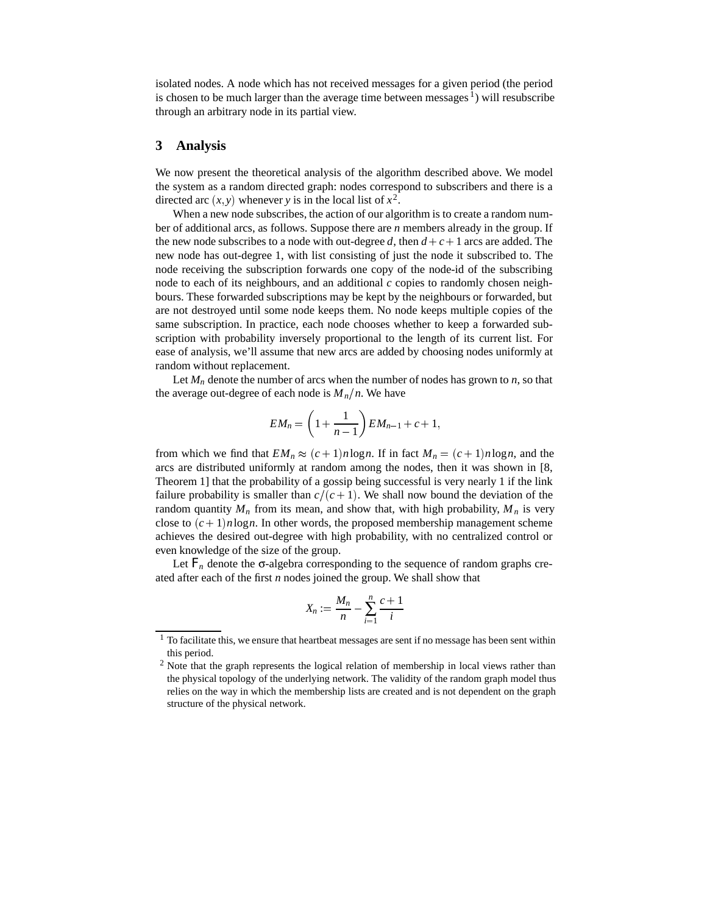isolated nodes. A node which has not received messages for a given period (the period is chosen to be much larger than the average time between messages  $\frac{1}{1}$  will resubscribe through an arbitrary node in its partial view.

### **3 Analysis**

We now present the theoretical analysis of the algorithm described above. We model the system as a random directed graph: nodes correspond to subscribers and there is a directed arc  $(x, y)$  whenever *y* is in the local list of  $x^2$ .

When a new node subscribes, the action of our algorithm is to create a random number of additional arcs, as follows. Suppose there are *n* members already in the group. If the new node subscribes to a node with out-degree *d*, then  $d + c + 1$  arcs are added. The new node has out-degree 1, with list consisting of just the node it subscribed to. The node receiving the subscription forwards one copy of the node-id of the subscribing node to each of its neighbours, and an additional *c* copies to randomly chosen neighbours. These forwarded subscriptions may be kept by the neighbours or forwarded, but are not destroyed until some node keeps them. No node keeps multiple copies of the same subscription. In practice, each node chooses whether to keep a forwarded subscription with probability inversely proportional to the length of its current list. For ease of analysis, we'll assume that new arcs are added by choosing nodes uniformly at random without replacement.

Let  $M_n$  denote the number of arcs when the number of nodes has grown to  $n$ , so that the average out-degree of each node is  $M_n/n$ . We have

$$
EM_n = \left(1 + \frac{1}{n-1}\right) EM_{n-1} + c + 1,
$$

from which we find that  $EM_n \approx (c+1)n \log n$ . If in fact  $M_n = (c+1)n \log n$ , and the arcs are distributed uniformly at random among the nodes, then it was shown in [8, Theorem 1] that the probability of a gossip being successful is very nearly 1 if the link failure probability is smaller than  $c/(c+1)$ . We shall now bound the deviation of the random quantity  $M_n$  from its mean, and show that, with high probability,  $M_n$  is very close to  $(c+1)n \log n$ . In other words, the proposed membership management scheme achieves the desired out-degree with high probability, with no centralized control or even knowledge of the size of the group.

Let  $F_n$  denote the  $\sigma$ -algebra corresponding to the sequence of random graphs created after each of the first *n* nodes joined the group. We shall show that

$$
X_n := \frac{M_n}{n} - \sum_{i=1}^n \frac{c+1}{i}
$$

<sup>&</sup>lt;sup>1</sup> To facilitate this, we ensure that heartbeat messages are sent if no message has been sent within this period.

<sup>&</sup>lt;sup>2</sup> Note that the graph represents the logical relation of membership in local views rather than the physical topology of the underlying network. The validity of the random graph model thus relies on the way in which the membership lists are created and is not dependent on the graph structure of the physical network.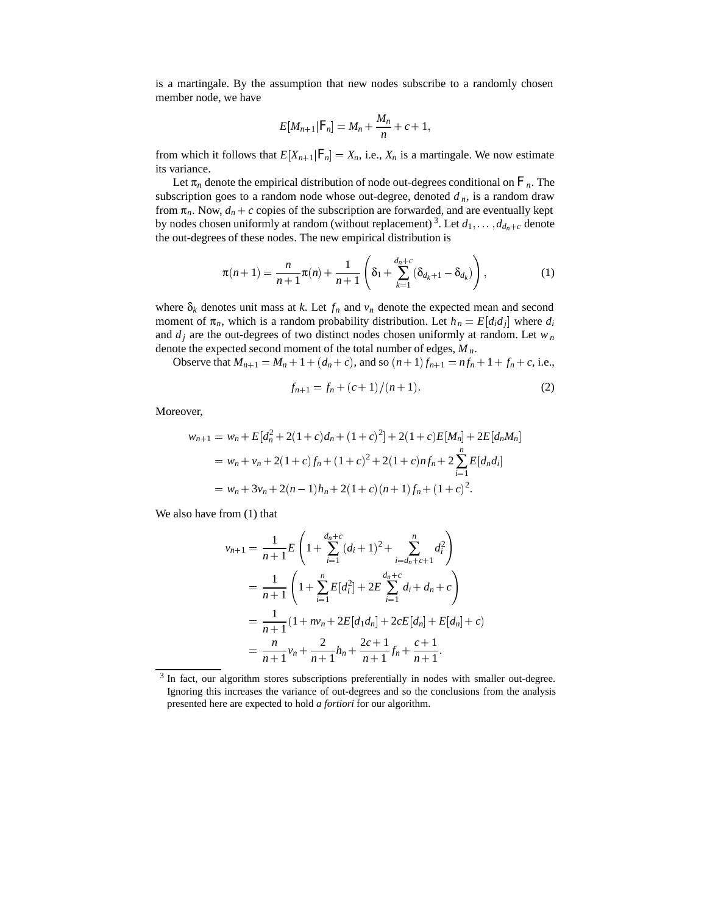is a martingale. By the assumption that new nodes subscribe to a randomly chosen member node, we have

$$
E[M_{n+1}|F_n] = M_n + \frac{M_n}{n} + c + 1,
$$

from which it follows that  $E[X_{n+1}|F_n] = X_n$ , i.e.,  $X_n$  is a martingale. We now estimate its variance.

Let  $\pi_n$  denote the empirical distribution of node out-degrees conditional on  $F_n$ . The subscription goes to a random node whose out-degree, denoted  $d_n$ , is a random draw from  $\pi_n$ . Now,  $d_n + c$  copies of the subscription are forwarded, and are eventually kept by nodes chosen uniformly at random (without replacement)<sup>3</sup>. Let  $d_1, \ldots, d_{d_n+c}$  denote the out-degrees of these nodes. The new empirical distribution is

$$
\pi(n+1) = \frac{n}{n+1}\pi(n) + \frac{1}{n+1}\left(\delta_1 + \sum_{k=1}^{d_n+c} (\delta_{d_k+1} - \delta_{d_k})\right),\tag{1}
$$

where  $\delta_k$  denotes unit mass at *k*. Let  $f_n$  and  $v_n$  denote the expected mean and second moment of  $\pi_n$ , which is a random probability distribution. Let  $h_n = E[d_i d_j]$  where  $d_i$ and  $d_i$  are the out-degrees of two distinct nodes chosen uniformly at random. Let  $w_n$ denote the expected second moment of the total number of edges, *M <sup>n</sup>*.

Observe that  $M_{n+1} = M_n + 1 + (d_n + c)$ , and so  $(n+1)f_{n+1} = nf_n + 1 + f_n + c$ , i.e.,

$$
f_{n+1} = f_n + (c+1)/(n+1)
$$
 (2)

Moreover,

$$
w_{n+1} = w_n + E[d_n^2 + 2(1+c)d_n + (1+c)^2] + 2(1+c)E[M_n] + 2E[d_nM_n]
$$
  
=  $w_n + v_n + 2(1+c)f_n + (1+c)^2 + 2(1+c)nf_n + 2\sum_{i=1}^n E[d_nd_i]$   
=  $w_n + 3v_n + 2(n-1)h_n + 2(1+c)(n+1)f_n + (1+c)^2$ .

We also have from (1) that

$$
v_{n+1} = \frac{1}{n+1} E\left(1 + \sum_{i=1}^{d_n + c} (d_i + 1)^2 + \sum_{i=d_n + c+1}^{n} d_i^2\right)
$$
  
= 
$$
\frac{1}{n+1} \left(1 + \sum_{i=1}^{n} E[d_i^2] + 2E \sum_{i=1}^{d_n + c} d_i + d_n + c\right)
$$
  
= 
$$
\frac{1}{n+1} (1 + nv_n + 2E[d_1d_n] + 2cE[d_n] + E[d_n] + c)
$$
  
= 
$$
\frac{n}{n+1} v_n + \frac{2}{n+1} h_n + \frac{2c+1}{n+1} f_n + \frac{c+1}{n+1}.
$$

<sup>&</sup>lt;sup>3</sup> In fact, our algorithm stores subscriptions preferentially in nodes with smaller out-degree. Ignoring this increases the variance of out-degrees and so the conclusions from the analysis presented here are expected to hold *a fortiori* for our algorithm.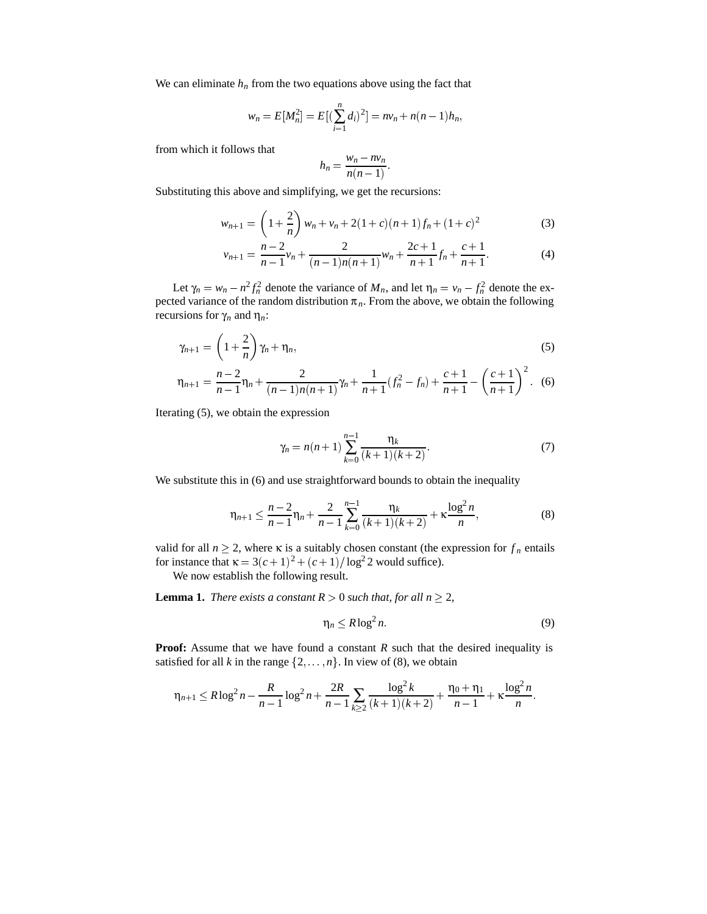We can eliminate  $h_n$  from the two equations above using the fact that

$$
w_n = E[M_n^2] = E[(\sum_{i=1}^n d_i)^2] = nv_n + n(n-1)h_n,
$$

from which it follows that

$$
h_n = \frac{w_n - n v_n}{n(n-1)}.
$$

Substituting this above and simplifying, we get the recursions:

$$
w_{n+1} = \left(1 + \frac{2}{n}\right)w_n + v_n + 2(1+c)(n+1)f_n + (1+c)^2\tag{3}
$$

$$
v_{n+1} = \frac{n-2}{n-1}v_n + \frac{2}{(n-1)n(n+1)}w_n + \frac{2c+1}{n+1}f_n + \frac{c+1}{n+1}.
$$
 (4)

Let  $\gamma_n = w_n - n^2 f_n^2$  denote the variance of  $M_n$ , and let  $\eta_n = v_n - f_n^2$  denote the expected variance of the random distribution  $\pi_n$ . From the above, we obtain the following recursions for γ*<sup>n</sup>* and η*n*:

$$
\gamma_{n+1} = \left(1 + \frac{2}{n}\right)\gamma_n + \eta_n,\tag{5}
$$

$$
\eta_{n+1} = \frac{n-2}{n-1}\eta_n + \frac{2}{(n-1)n(n+1)}\gamma_n + \frac{1}{n+1}(f_n^2 - f_n) + \frac{c+1}{n+1} - \left(\frac{c+1}{n+1}\right)^2.
$$
 (6)

Iterating (5), we obtain the expression

$$
\gamma_n = n(n+1) \sum_{k=0}^{n-1} \frac{\eta_k}{(k+1)(k+2)}.
$$
\n(7)

We substitute this in (6) and use straightforward bounds to obtain the inequality

$$
\eta_{n+1} \le \frac{n-2}{n-1} \eta_n + \frac{2}{n-1} \sum_{k=0}^{n-1} \frac{\eta_k}{(k+1)(k+2)} + \kappa \frac{\log^2 n}{n},\tag{8}
$$

valid for all  $n \ge 2$ , where  $\kappa$  is a suitably chosen constant (the expression for  $f_n$  entails for instance that  $\kappa = 3(c+1)^2 + (c+1)/\log^2 2$  would suffice).

We now establish the following result.

**Lemma 1.** *There exists a constant R*  $> 0$  *such that, for all n*  $\geq 2$ *,* 

$$
\eta_n \le R \log^2 n. \tag{9}
$$

**Proof:** Assume that we have found a constant *R* such that the desired inequality is satisfied for all *k* in the range  $\{2, \ldots, n\}$ . In view of (8), we obtain

$$
\eta_{n+1} \le R \log^2 n - \frac{R}{n-1} \log^2 n + \frac{2R}{n-1} \sum_{k \ge 2} \frac{\log^2 k}{(k+1)(k+2)} + \frac{\eta_0 + \eta_1}{n-1} + \kappa \frac{\log^2 n}{n}.
$$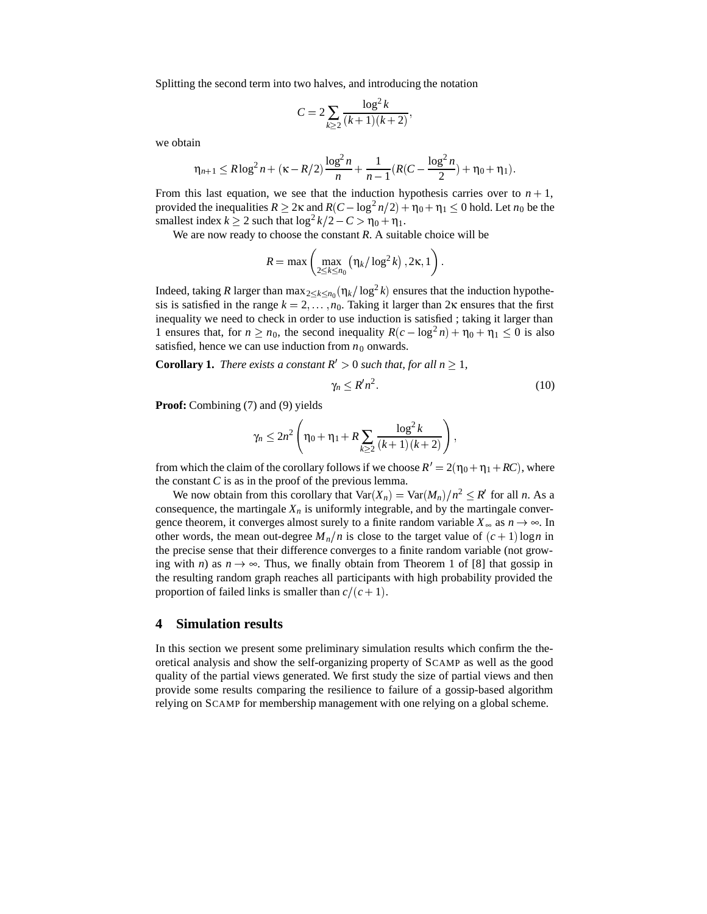Splitting the second term into two halves, and introducing the notation

$$
C = 2\sum_{k\geq 2} \frac{\log^2 k}{(k+1)(k+2)},
$$

we obtain

$$
\eta_{n+1} \le R \log^2 n + (\kappa - R/2) \frac{\log^2 n}{n} + \frac{1}{n-1} (R(C - \frac{\log^2 n}{2}) + \eta_0 + \eta_1).
$$

From this last equation, we see that the induction hypothesis carries over to  $n + 1$ , provided the inequalities  $R \geq 2\kappa$  and  $R(C - \log^2 n/2) + \eta_0 + \eta_1 \leq 0$  hold. Let  $n_0$  be the smallest index  $k \ge 2$  such that  $\log^2 k/2 - C > \eta_0 + \eta_1$ .

We are now ready to choose the constant *R*. A suitable choice will be

$$
R = \max \left( \max_{2 \leq k \leq n_0} \left( \eta_k / \log^2 k \right), 2\kappa, 1 \right).
$$

Indeed, taking *R* larger than  $\max_{2 \le k \le n_0} (\eta_k / \log^2 k)$  ensures that the induction hypothesis is satisfied in the range  $k = 2, ..., n_0$ . Taking it larger than  $2\kappa$  ensures that the first inequality we need to check in order to use induction is satisfied ; taking it larger than 1 ensures that, for  $n \ge n_0$ , the second inequality  $R(c - \log^2 n) + \eta_0 + \eta_1 \le 0$  is also satisfied, hence we can use induction from  $n_0$  onwards.

**Corollary 1.** *There exists a constant*  $R' > 0$  *such that, for all n*  $> 1$ *,* 

$$
\gamma_n \le R' n^2. \tag{10}
$$

Proof: Combining (7) and (9) yields

$$
\gamma_n \leq 2n^2 \left( \eta_0 + \eta_1 + R \sum_{k \geq 2} \frac{\log^2 k}{(k+1)(k+2)} \right),
$$

from which the claim of the corollary follows if we choose  $R' = 2(\eta_0 + \eta_1 + RC)$ , where the constant  $C$  is as in the proof of the previous lemma.

We now obtain from this corollary that  $\text{Var}(X_n) = \text{Var}(M_n)/n^2 \le R'$  for all *n*. As a consequence, the martingale  $X_n$  is uniformly integrable, and by the martingale convergence theorem, it converges almost surely to a finite random variable  $X_{\infty}$  as  $n \to \infty$ . In other words, the mean out-degree  $M_n/n$  is close to the target value of  $(c+1)\log n$  in the precise sense that their difference converges to a finite random variable (not growing with *n*) as  $n \to \infty$ . Thus, we finally obtain from Theorem 1 of [8] that gossip in the resulting random graph reaches all participants with high probability provided the proportion of failed links is smaller than  $c/(c+1)$ .

### **4 Simulation results**

In this section we present some preliminary simulation results which confirm the theoretical analysis and show the self-organizing property of SCAMP as well as the good quality of the partial views generated. We first study the size of partial views and then provide some results comparing the resilience to failure of a gossip-based algorithm relying on SCAMP for membership management with one relying on a global scheme.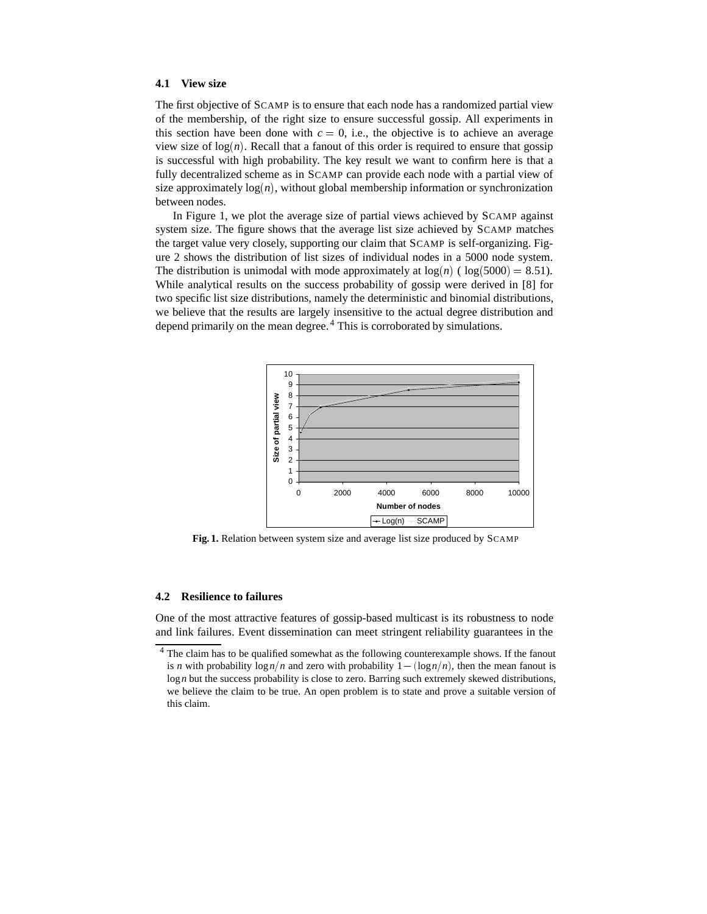#### **4.1 View size**

The first objective of SCAMP is to ensure that each node has a randomized partial view of the membership, of the right size to ensure successful gossip. All experiments in this section have been done with  $c = 0$ , i.e., the objective is to achieve an average view size of  $log(n)$ . Recall that a fanout of this order is required to ensure that gossip is successful with high probability. The key result we want to confirm here is that a fully decentralized scheme as in SCAMP can provide each node with a partial view of size approximately  $log(n)$ , without global membership information or synchronization between nodes.

In Figure 1, we plot the average size of partial views achieved by SCAMP against system size. The figure shows that the average list size achieved by SCAMP matches the target value very closely, supporting our claim that SCAMP is self-organizing. Figure 2 shows the distribution of list sizes of individual nodes in a 5000 node system. The distribution is unimodal with mode approximately at  $log(n)$  ( $log(5000) = 8.51$ ). While analytical results on the success probability of gossip were derived in [8] for two specific list size distributions, namely the deterministic and binomial distributions, we believe that the results are largely insensitive to the actual degree distribution and depend primarily on the mean degree.<sup>4</sup> This is corroborated by simulations.



**Fig. 1.** Relation between system size and average list size produced by SCAMP

#### **4.2 Resilience to failures**

One of the most attractive features of gossip-based multicast is its robustness to node and link failures. Event dissemination can meet stringent reliability guarantees in the

<sup>&</sup>lt;sup>4</sup> The claim has to be qualified somewhat as the following counterexample shows. If the fanout is *n* with probability  $\log n/n$  and zero with probability  $1 - (\log n/n)$ , then the mean fanout is log *n* but the success probability is close to zero. Barring such extremely skewed distributions, we believe the claim to be true. An open problem is to state and prove a suitable version of this claim.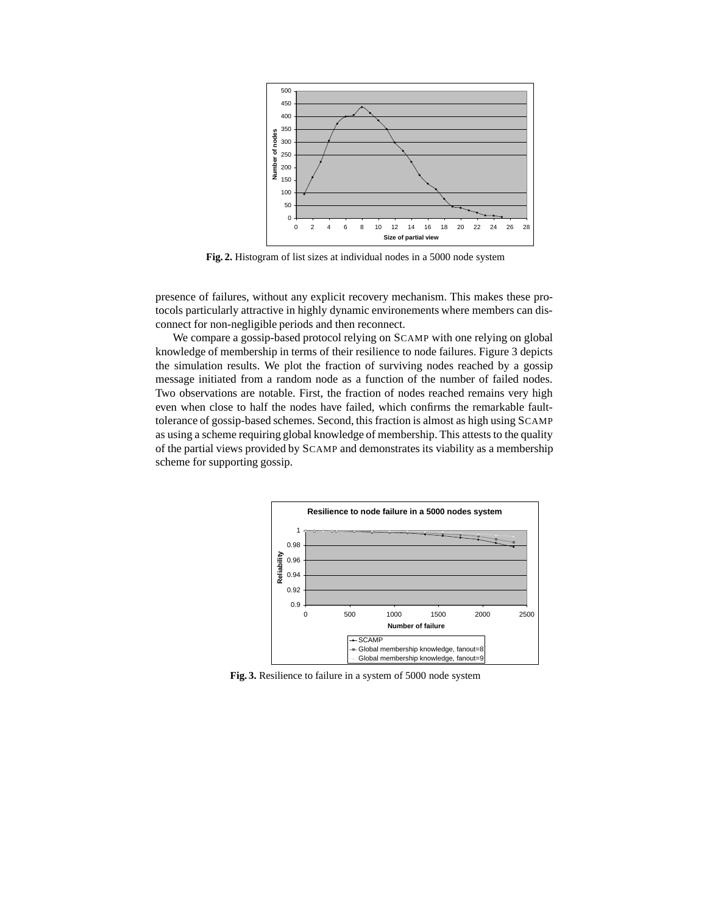

**Fig. 2.** Histogram of list sizes at individual nodes in a 5000 node system

presence of failures, without any explicit recovery mechanism. This makes these protocols particularly attractive in highly dynamic environements where members can disconnect for non-negligible periods and then reconnect.

We compare a gossip-based protocol relying on SCAMP with one relying on global knowledge of membership in terms of their resilience to node failures. Figure 3 depicts the simulation results. We plot the fraction of surviving nodes reached by a gossip message initiated from a random node as a function of the number of failed nodes. Two observations are notable. First, the fraction of nodes reached remains very high even when close to half the nodes have failed, which confirms the remarkable faulttolerance of gossip-based schemes. Second, this fraction is almost as high using SCAMP as using a scheme requiring global knowledge of membership. This attests to the quality of the partial views provided by SCAMP and demonstrates its viability as a membership scheme for supporting gossip.



**Fig. 3.** Resilience to failure in a system of 5000 node system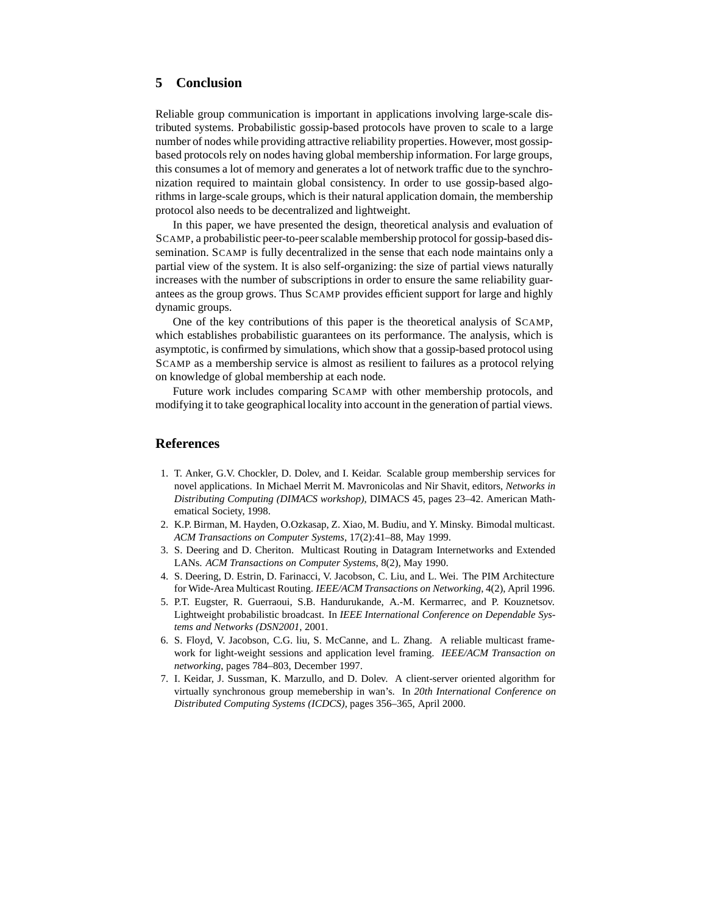# **5 Conclusion**

Reliable group communication is important in applications involving large-scale distributed systems. Probabilistic gossip-based protocols have proven to scale to a large number of nodes while providing attractive reliability properties. However, most gossipbased protocols rely on nodes having global membership information. For large groups, this consumes a lot of memory and generates a lot of network traffic due to the synchronization required to maintain global consistency. In order to use gossip-based algorithms in large-scale groups, which is their natural application domain, the membership protocol also needs to be decentralized and lightweight.

In this paper, we have presented the design, theoretical analysis and evaluation of SCAMP, a probabilistic peer-to-peer scalable membership protocol for gossip-based dissemination. SCAMP is fully decentralized in the sense that each node maintains only a partial view of the system. It is also self-organizing: the size of partial views naturally increases with the number of subscriptions in order to ensure the same reliability guarantees as the group grows. Thus SCAMP provides efficient support for large and highly dynamic groups.

One of the key contributions of this paper is the theoretical analysis of SCAMP, which establishes probabilistic guarantees on its performance. The analysis, which is asymptotic, is confirmed by simulations, which show that a gossip-based protocol using SCAMP as a membership service is almost as resilient to failures as a protocol relying on knowledge of global membership at each node.

Future work includes comparing SCAMP with other membership protocols, and modifying it to take geographical locality into account in the generation of partial views.

### **References**

- 1. T. Anker, G.V. Chockler, D. Dolev, and I. Keidar. Scalable group membership services for novel applications. In Michael Merrit M. Mavronicolas and Nir Shavit, editors, *Networks in Distributing Computing (DIMACS workshop)*, DIMACS 45, pages 23–42. American Mathematical Society, 1998.
- 2. K.P. Birman, M. Hayden, O.Ozkasap, Z. Xiao, M. Budiu, and Y. Minsky. Bimodal multicast. *ACM Transactions on Computer Systems*, 17(2):41–88, May 1999.
- 3. S. Deering and D. Cheriton. Multicast Routing in Datagram Internetworks and Extended LANs. *ACM Transactions on Computer Systems*, 8(2), May 1990.
- 4. S. Deering, D. Estrin, D. Farinacci, V. Jacobson, C. Liu, and L. Wei. The PIM Architecture for Wide-Area Multicast Routing. *IEEE/ACM Transactions on Networking*, 4(2), April 1996.
- 5. P.T. Eugster, R. Guerraoui, S.B. Handurukande, A.-M. Kermarrec, and P. Kouznetsov. Lightweight probabilistic broadcast. In *IEEE International Conference on Dependable Systems and Networks (DSN2001*, 2001.
- 6. S. Floyd, V. Jacobson, C.G. liu, S. McCanne, and L. Zhang. A reliable multicast framework for light-weight sessions and application level framing. *IEEE/ACM Transaction on networking*, pages 784–803, December 1997.
- 7. I. Keidar, J. Sussman, K. Marzullo, and D. Dolev. A client-server oriented algorithm for virtually synchronous group memebership in wan's. In *20th International Conference on Distributed Computing Systems (ICDCS)*, pages 356–365, April 2000.